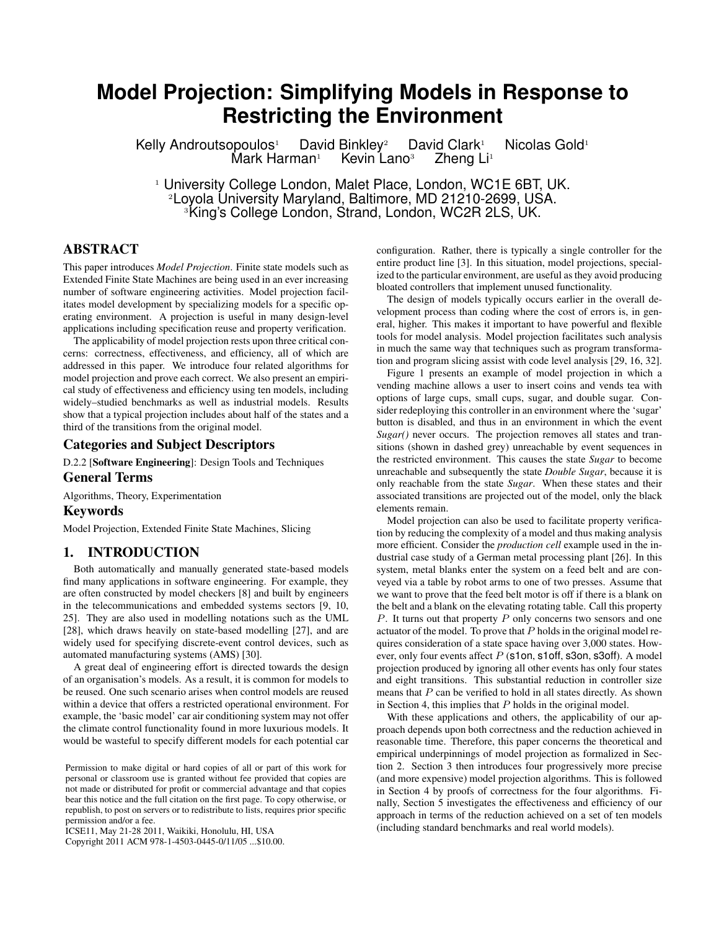# **Model Projection: Simplifying Models in Response to Restricting the Environment**

Kelly Androutsopoulos<sup>1</sup> David Binkley<sup>2</sup> David Clark<sup>1</sup> Nicolas Gold<sup>1</sup><br>Mark Harman<sup>1</sup> Kevin Lano<sup>3</sup> Zheng Li<sup>1</sup>  $Mark Harman<sup>1</sup>$ 

<sup>1</sup> University College London, Malet Place, London, WC1E 6BT, UK. <sup>2</sup>Loyola University Maryland, Baltimore, MD 21210-2699, USA. <sup>3</sup>King's College London, Strand, London, WC2R 2LS, UK.

### ABSTRACT

This paper introduces *Model Projection*. Finite state models such as Extended Finite State Machines are being used in an ever increasing number of software engineering activities. Model projection facilitates model development by specializing models for a specific operating environment. A projection is useful in many design-level applications including specification reuse and property verification.

The applicability of model projection rests upon three critical concerns: correctness, effectiveness, and efficiency, all of which are addressed in this paper. We introduce four related algorithms for model projection and prove each correct. We also present an empirical study of effectiveness and efficiency using ten models, including widely–studied benchmarks as well as industrial models. Results show that a typical projection includes about half of the states and a third of the transitions from the original model.

### Categories and Subject Descriptors

D.2.2 [Software Engineering]: Design Tools and Techniques

### General Terms

Algorithms, Theory, Experimentation

### Keywords

Model Projection, Extended Finite State Machines, Slicing

### 1. INTRODUCTION

Both automatically and manually generated state-based models find many applications in software engineering. For example, they are often constructed by model checkers [8] and built by engineers in the telecommunications and embedded systems sectors [9, 10, 25]. They are also used in modelling notations such as the UML [28], which draws heavily on state-based modelling [27], and are widely used for specifying discrete-event control devices, such as automated manufacturing systems (AMS) [30].

A great deal of engineering effort is directed towards the design of an organisation's models. As a result, it is common for models to be reused. One such scenario arises when control models are reused within a device that offers a restricted operational environment. For example, the 'basic model' car air conditioning system may not offer the climate control functionality found in more luxurious models. It would be wasteful to specify different models for each potential car

ICSE11, May 21-28 2011, Waikiki, Honolulu, HI, USA

Copyright 2011 ACM 978-1-4503-0445-0/11/05 ...\$10.00.

configuration. Rather, there is typically a single controller for the entire product line [3]. In this situation, model projections, specialized to the particular environment, are useful as they avoid producing bloated controllers that implement unused functionality.

The design of models typically occurs earlier in the overall development process than coding where the cost of errors is, in general, higher. This makes it important to have powerful and flexible tools for model analysis. Model projection facilitates such analysis in much the same way that techniques such as program transformation and program slicing assist with code level analysis [29, 16, 32].

Figure 1 presents an example of model projection in which a vending machine allows a user to insert coins and vends tea with options of large cups, small cups, sugar, and double sugar. Consider redeploying this controller in an environment where the 'sugar' button is disabled, and thus in an environment in which the event *Sugar()* never occurs. The projection removes all states and transitions (shown in dashed grey) unreachable by event sequences in the restricted environment. This causes the state *Sugar* to become unreachable and subsequently the state *Double Sugar*, because it is only reachable from the state *Sugar*. When these states and their associated transitions are projected out of the model, only the black elements remain.

Model projection can also be used to facilitate property verification by reducing the complexity of a model and thus making analysis more efficient. Consider the *production cell* example used in the industrial case study of a German metal processing plant [26]. In this system, metal blanks enter the system on a feed belt and are conveyed via a table by robot arms to one of two presses. Assume that we want to prove that the feed belt motor is off if there is a blank on the belt and a blank on the elevating rotating table. Call this property P. It turns out that property P only concerns two sensors and one actuator of the model. To prove that  $P$  holds in the original model requires consideration of a state space having over 3,000 states. However, only four events affect  $P$  (s1on, s1off, s3on, s3off). A model projection produced by ignoring all other events has only four states and eight transitions. This substantial reduction in controller size means that  $P$  can be verified to hold in all states directly. As shown in Section 4, this implies that  $P$  holds in the original model.

With these applications and others, the applicability of our approach depends upon both correctness and the reduction achieved in reasonable time. Therefore, this paper concerns the theoretical and empirical underpinnings of model projection as formalized in Section 2. Section 3 then introduces four progressively more precise (and more expensive) model projection algorithms. This is followed in Section 4 by proofs of correctness for the four algorithms. Finally, Section 5 investigates the effectiveness and efficiency of our approach in terms of the reduction achieved on a set of ten models (including standard benchmarks and real world models).

Permission to make digital or hard copies of all or part of this work for personal or classroom use is granted without fee provided that copies are not made or distributed for profit or commercial advantage and that copies bear this notice and the full citation on the first page. To copy otherwise, or republish, to post on servers or to redistribute to lists, requires prior specific permission and/or a fee.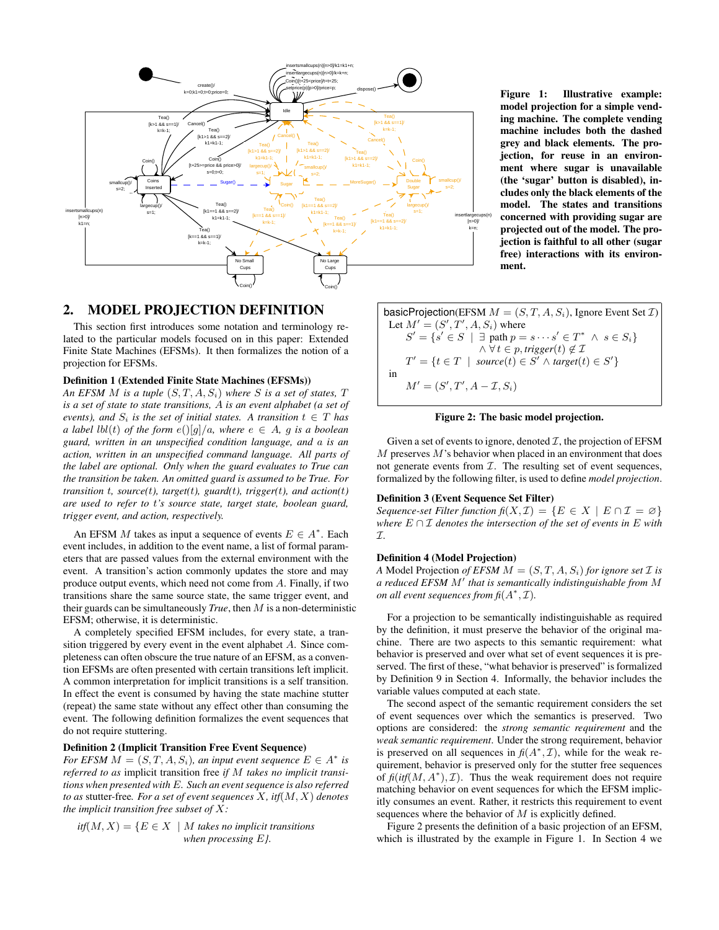

### 2. MODEL PROJECTION DEFINITION

This section first introduces some notation and terminology related to the particular models focused on in this paper: Extended Finite State Machines (EFSMs). It then formalizes the notion of a projection for EFSMs.

#### Definition 1 (Extended Finite State Machines (EFSMs))

*An EFSM* M *is a tuple* (S, T, A, Si) *where* S *is a set of states,* T *is a set of state to state transitions,* A *is an event alphabet (a set of events), and*  $S_i$  *is the set of initial states. A transition*  $t \in T$  *has a label*  $\text{lb}(t)$  *of the form*  $\text{e}()[g]/a$ *, where*  $e \in A$ *, g is a boolean guard, written in an unspecified condition language, and* a *is an action, written in an unspecified command language. All parts of the label are optional. Only when the guard evaluates to True can the transition be taken. An omitted guard is assumed to be True. For transition* t*, source(*t*), target(*t*), guard(*t*), trigger(*t*), and action(*t*) are used to refer to* t*'s source state, target state, boolean guard, trigger event, and action, respectively.*

An EFSM M takes as input a sequence of events  $E \in A^*$ . Each event includes, in addition to the event name, a list of formal parameters that are passed values from the external environment with the event. A transition's action commonly updates the store and may produce output events, which need not come from A. Finally, if two transitions share the same source state, the same trigger event, and their guards can be simultaneously *True*, then M is a non-deterministic EFSM; otherwise, it is deterministic.

A completely specified EFSM includes, for every state, a transition triggered by every event in the event alphabet A. Since completeness can often obscure the true nature of an EFSM, as a convention EFSMs are often presented with certain transitions left implicit. A common interpretation for implicit transitions is a self transition. In effect the event is consumed by having the state machine stutter (repeat) the same state without any effect other than consuming the event. The following definition formalizes the event sequences that do not require stuttering.

#### Definition 2 (Implicit Transition Free Event Sequence)

*For EFSM*  $M = (S, T, A, S_i)$ *, an input event sequence*  $E \in A^*$  *is referred to as* implicit transition free *if* M *takes no implicit transitions when presented with* E*. Such an event sequence is also referred to as* stutter-free*. For a set of event sequences* X*, itf*(M, X) *denotes the implicit transition free subset of* X*:*

 $itf(M, X) = \{E \in X \mid M$  *takes no implicit transitions when processing* E*}.*

Figure 1: Illustrative example: model projection for a simple vending machine. The complete vending machine includes both the dashed grey and black elements. The projection, for reuse in an environment where sugar is unavailable (the 'sugar' button is disabled), includes only the black elements of the model. The states and transitions concerned with providing sugar are projected out of the model. The projection is faithful to all other (sugar free) interactions with its environment.

basicProjection(EFSM  $M = (S, T, A, S_i)$ , Ignore Event Set  $\mathcal{I}$ ) Let  $M' = (S', T', A, S_i)$  where  $S' = \{s' \in S \mid \exists \text{ path } p = s \cdots s' \in T^* \land s \in S_i\}$  $\land$  ∀  $t \in p$ , trigger(t)  $\notin \mathcal{I}$  $T' = \{t \in T \mid source(t) \in S' \land target(t) \in S'\}$ in  $M' = (S', T', A - \mathcal{I}, S_i)$ 

#### Figure 2: The basic model projection.

Given a set of events to ignore, denoted  $\mathcal{I}$ , the projection of EFSM  $M$  preserves  $M$ 's behavior when placed in an environment that does not generate events from  $I$ . The resulting set of event sequences, formalized by the following filter, is used to define *model projection*.

#### Definition 3 (Event Sequence Set Filter)

*Sequence-set Filter function fi* $(X, \mathcal{I}) = \{E \in X \mid E \cap \mathcal{I} = \emptyset\}$ *where*  $E \cap \mathcal{I}$  *denotes the intersection of the set of events in*  $E$  *with* I*.*

#### Definition 4 (Model Projection)

*A* Model Projection *of EFSM*  $M = (S, T, A, S_i)$  *for ignore set*  $\mathcal{I}$  *is* a reduced EFSM M' that is semantically indistinguishable from M *on all event sequences from*  $f_i(A^*, \mathcal{I})$ *.* 

For a projection to be semantically indistinguishable as required by the definition, it must preserve the behavior of the original machine. There are two aspects to this semantic requirement: what behavior is preserved and over what set of event sequences it is preserved. The first of these, "what behavior is preserved" is formalized by Definition 9 in Section 4. Informally, the behavior includes the variable values computed at each state.

The second aspect of the semantic requirement considers the set of event sequences over which the semantics is preserved. Two options are considered: the *strong semantic requirement* and the *weak semantic requirement*. Under the strong requirement, behavior is preserved on all sequences in  $f(A^*, \mathcal{I})$ , while for the weak requirement, behavior is preserved only for the stutter free sequences of  $f$ ( $it$ f( $M$ ,  $A^*$ ),  $I$ ). Thus the weak requirement does not require matching behavior on event sequences for which the EFSM implicitly consumes an event. Rather, it restricts this requirement to event sequences where the behavior of  $M$  is explicitly defined.

Figure 2 presents the definition of a basic projection of an EFSM, which is illustrated by the example in Figure 1. In Section 4 we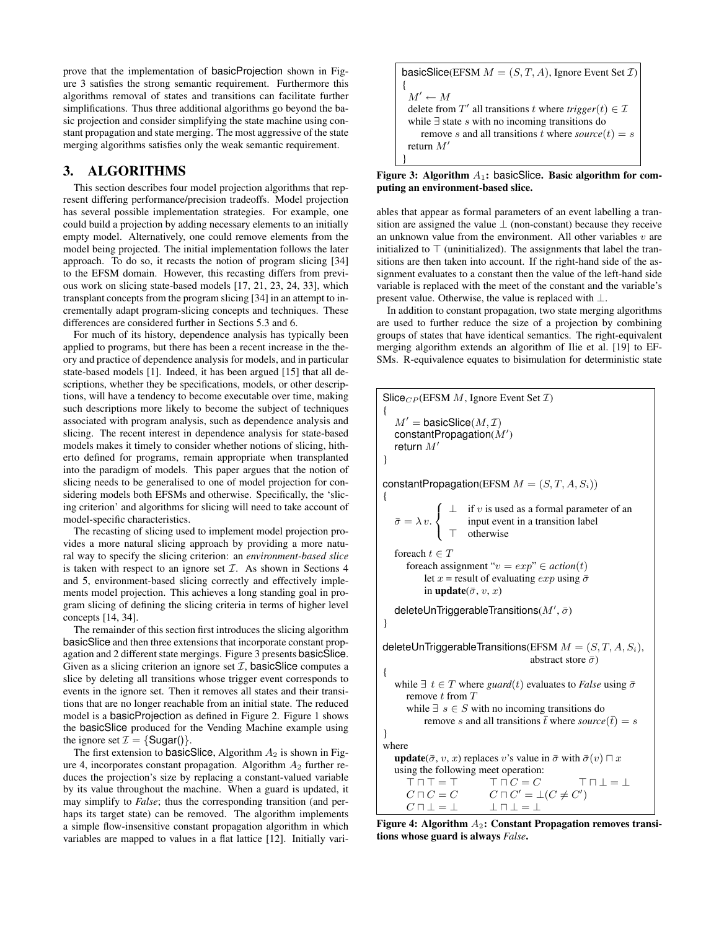prove that the implementation of basicProjection shown in Figure 3 satisfies the strong semantic requirement. Furthermore this algorithms removal of states and transitions can facilitate further simplifications. Thus three additional algorithms go beyond the basic projection and consider simplifying the state machine using constant propagation and state merging. The most aggressive of the state merging algorithms satisfies only the weak semantic requirement.

### 3. ALGORITHMS

This section describes four model projection algorithms that represent differing performance/precision tradeoffs. Model projection has several possible implementation strategies. For example, one could build a projection by adding necessary elements to an initially empty model. Alternatively, one could remove elements from the model being projected. The initial implementation follows the later approach. To do so, it recasts the notion of program slicing [34] to the EFSM domain. However, this recasting differs from previous work on slicing state-based models [17, 21, 23, 24, 33], which transplant concepts from the program slicing [34] in an attempt to incrementally adapt program-slicing concepts and techniques. These differences are considered further in Sections 5.3 and 6.

For much of its history, dependence analysis has typically been applied to programs, but there has been a recent increase in the theory and practice of dependence analysis for models, and in particular state-based models [1]. Indeed, it has been argued [15] that all descriptions, whether they be specifications, models, or other descriptions, will have a tendency to become executable over time, making such descriptions more likely to become the subject of techniques associated with program analysis, such as dependence analysis and slicing. The recent interest in dependence analysis for state-based models makes it timely to consider whether notions of slicing, hitherto defined for programs, remain appropriate when transplanted into the paradigm of models. This paper argues that the notion of slicing needs to be generalised to one of model projection for considering models both EFSMs and otherwise. Specifically, the 'slicing criterion' and algorithms for slicing will need to take account of model-specific characteristics.

The recasting of slicing used to implement model projection provides a more natural slicing approach by providing a more natural way to specify the slicing criterion: an *environment-based slice* is taken with respect to an ignore set  $I$ . As shown in Sections 4 and 5, environment-based slicing correctly and effectively implements model projection. This achieves a long standing goal in program slicing of defining the slicing criteria in terms of higher level concepts [14, 34].

The remainder of this section first introduces the slicing algorithm basicSlice and then three extensions that incorporate constant propagation and 2 different state mergings. Figure 3 presents basicSlice. Given as a slicing criterion an ignore set  $\mathcal{I}$ , basicSlice computes a slice by deleting all transitions whose trigger event corresponds to events in the ignore set. Then it removes all states and their transitions that are no longer reachable from an initial state. The reduced model is a basicProjection as defined in Figure 2. Figure 1 shows the basicSlice produced for the Vending Machine example using the ignore set  $\mathcal{I} = \{\text{Sugar}(\cdot)\}.$ 

The first extension to basicSlice, Algorithm  $A_2$  is shown in Figure 4, incorporates constant propagation. Algorithm  $A_2$  further reduces the projection's size by replacing a constant-valued variable by its value throughout the machine. When a guard is updated, it may simplify to *False*; thus the corresponding transition (and perhaps its target state) can be removed. The algorithm implements a simple flow-insensitive constant propagation algorithm in which variables are mapped to values in a flat lattice [12]. Initially vari-

$$
\begin{array}{|l|l|} \hline \text{basicSlice(EFSM }M=(S,T,A), \text{ Ignore Event Set } \mathcal{I}) \\ \hline \{M' \leftarrow M \\ \text{delete from } T' \text{ all transitions } t \text{ where } trigger(t) \in \mathcal{I} \\ \text{while } \exists \text{ state } s \text{ with no incoming transitions do} \\ \text{remove } s \text{ and all transitions } t \text{ where } source(t) = s \\ \text{return } M' \end{array}
$$

Figure 3: Algorithm  $A_1$ : basicSlice. Basic algorithm for computing an environment-based slice.

ables that appear as formal parameters of an event labelling a transition are assigned the value  $\perp$  (non-constant) because they receive an unknown value from the environment. All other variables  $v$  are initialized to  $\top$  (uninitialized). The assignments that label the transitions are then taken into account. If the right-hand side of the assignment evaluates to a constant then the value of the left-hand side variable is replaced with the meet of the constant and the variable's present value. Otherwise, the value is replaced with ⊥.

In addition to constant propagation, two state merging algorithms are used to further reduce the size of a projection by combining groups of states that have identical semantics. The right-equivalent merging algorithm extends an algorithm of Ilie et al. [19] to EF-SMs. R-equivalence equates to bisimulation for deterministic state

```
\textsf{Slice}_{\mathbb{CP}}(\text{EFSM }M, \text{Ignore Event Set } \mathcal{I}){
   M' = basicSlice(M, \mathcal{I})
   \mathsf{constantPropagation}(M')return M'}
constantPropagation(EFSM M = (S, T, A, S_i))
{
   \bar{\sigma} = \lambda v.\sqrt{2}\left| \right|\mathcal{L}\perp if v is used as a formal parameter of an
                         input event in a transition label
                   T otherwise
   for<br>each t \in Tforeach assignment "v = exp" \in action(t)let x = result of evaluating exp using \bar{\sigma}in update(\bar{\sigma}, v, x)
   deleteUnTriggerableTransitions(M',\bar{\sigma})}
deleteUnTriggerableTransitions(EFSM M = (S, T, A, S_i),
                                          abstract store \bar{\sigma})
{
   while \exists t \in T where guard(t) evaluates to False using \bar{\sigma}remove t from Twhile ∃ s ∈ S with no incoming transitions do
            remove s and all transitions \bar{t} where source(\bar{t}) = s
}
where
   update(\bar{\sigma}, v, x) replaces v's value in \bar{\sigma} with \bar{\sigma}(v) \sqcap xusing the following meet operation:
       T \sqcap T = T T \sqcap C = C T \sqcap \bot = \botC \sqcap C = C\prime = \bot (C \neq C')C \sqcap \bot = \bot \bot \sqcap \bot = \bot
```
Figure 4: Algorithm  $A_2$ : Constant Propagation removes transitions whose guard is always *False*.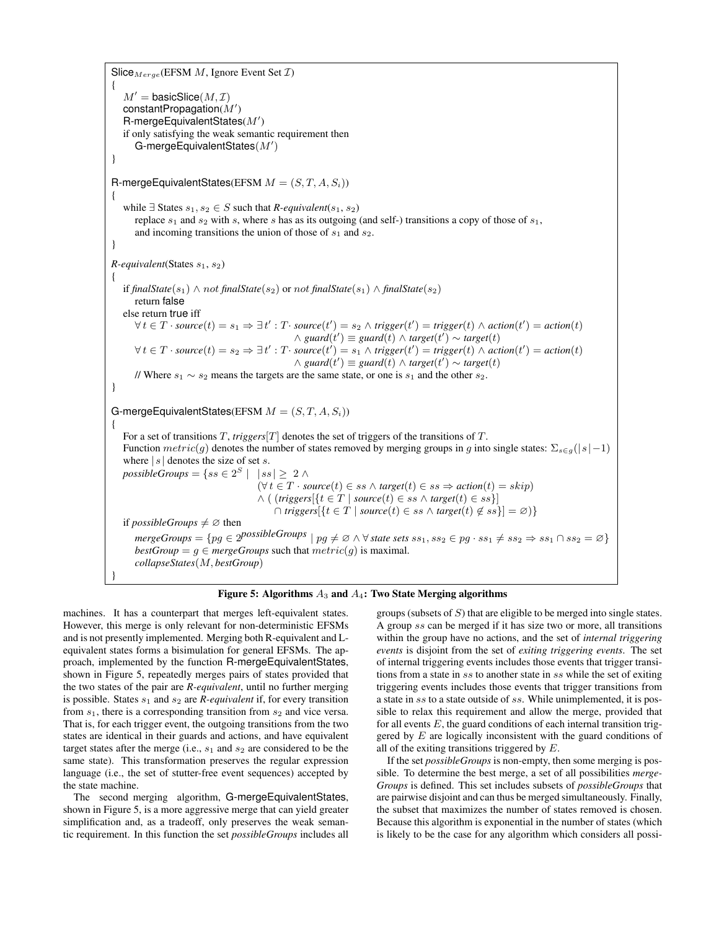Slice  $Merege$  (EFSM M, Ignore Event Set  $\mathcal{I}$ ) {  $M' = \text{basicSlice}(M, \mathcal{I})$  $\mathsf{constantPropagation}(M')$ R-mergeEquivalentStates $(M')$ if only satisfying the weak semantic requirement then G-mergeEquivalentStates $(M')$ } R-mergeEquivalentStates(EFSM  $M = (S, T, A, S_i)$ ) { while ∃ States  $s_1, s_2 \in S$  such that *R-equivalent*( $s_1, s_2$ ) replace  $s_1$  and  $s_2$  with s, where s has as its outgoing (and self-) transitions a copy of those of  $s_1$ , and incoming transitions the union of those of  $s_1$  and  $s_2$ . } *R-equivalent*(States  $s_1$ ,  $s_2$ ) { if  $finalState(s_1)$  ∧ not  $finalState(s_2)$  or not  $finalState(s_1)$  ∧  $finalState(s_2)$ return false else return true iff  $\forall t \in T \cdot source(t) = s_1 \Rightarrow \exists t' : T \cdot source(t') = s_2 \land trigger(t') = trigger(t) \land action(t') = action(t)$  $\land$  *guard*(*t*<sup> $\land$ </sup>)  $\land$  *target*(*t*<sup> $\land$ </sup>)  $\sim$  *target*(*t*)  $\forall t \in T \cdot source(t) = s_2 \Rightarrow \exists t' : T \cdot source(t') = s_1 \land trigger(t') = trigger(t) \land action(t') = action(t)$  $\land$  *guard*(*t*<sup> $\land$ </sup>)  $\land$  *target*(*t*<sup> $\land$ </sup>)  $\sim$  *target*(*t*) // Where  $s_1 \sim s_2$  means the targets are the same state, or one is  $s_1$  and the other  $s_2$ . } G-mergeEquivalentStates(EFSM  $M = (S, T, A, S_i)$ ) { For a set of transitions T, *triggers*[T] denotes the set of triggers of the transitions of T. Function  $metric(g)$  denotes the number of states removed by merging groups in g into single states:  $\Sigma_{s \in g}(|s|-1)$ where  $|s|$  denotes the size of set s.  $possibleGrows = \{ss \in 2^S \mid \hspace{0.1cm} |ss| \geq 2 \wedge$  $(∀ t ∈ T · source(t) ∈ ss ∧ target(t) ∈ ss ⇒ action(t) = skip)$  $∧$  ( (*triggers*[{ $t \in T$  | *source*( $t$ ) ∈ *ss*  $∧$  *target*( $t$ ) ∈ *ss*}]  $∩ triggers[{t \in T | source(t) \in ss ∧ target(t) \notin ss}] = ∅$ if *possibleGroups*  $\neq \emptyset$  then  $mergeGroups = \{pg \in 2^{possibleGroups} \mid pg \neq \varnothing \land \forall \textit{state sets } ss_1, ss_2 \in pg \cdot ss_1 \neq ss_2 \Rightarrow ss_1 \cap ss_2 = \varnothing\}$ *bestGroup* =  $g \in mergeGrows$  such that  $metric(g)$  is maximal. *collapseStates*(M, *bestGroup*) }

#### Figure 5: Algorithms  $A_3$  and  $A_4$ : Two State Merging algorithms

machines. It has a counterpart that merges left-equivalent states. However, this merge is only relevant for non-deterministic EFSMs and is not presently implemented. Merging both R-equivalent and Lequivalent states forms a bisimulation for general EFSMs. The approach, implemented by the function R-mergeEquivalentStates, shown in Figure 5, repeatedly merges pairs of states provided that the two states of the pair are *R-equivalent*, until no further merging is possible. States  $s_1$  and  $s_2$  are *R-equivalent* if, for every transition from  $s_1$ , there is a corresponding transition from  $s_2$  and vice versa. That is, for each trigger event, the outgoing transitions from the two states are identical in their guards and actions, and have equivalent target states after the merge (i.e.,  $s_1$  and  $s_2$  are considered to be the same state). This transformation preserves the regular expression language (i.e., the set of stutter-free event sequences) accepted by the state machine.

The second merging algorithm, G-mergeEquivalentStates, shown in Figure 5, is a more aggressive merge that can yield greater simplification and, as a tradeoff, only preserves the weak semantic requirement. In this function the set *possibleGroups* includes all groups (subsets of  $S$ ) that are eligible to be merged into single states. A group ss can be merged if it has size two or more, all transitions within the group have no actions, and the set of *internal triggering events* is disjoint from the set of *exiting triggering events*. The set of internal triggering events includes those events that trigger transitions from a state in ss to another state in ss while the set of exiting triggering events includes those events that trigger transitions from a state in ss to a state outside of ss. While unimplemented, it is possible to relax this requirement and allow the merge, provided that for all events  $E$ , the guard conditions of each internal transition triggered by  $E$  are logically inconsistent with the guard conditions of all of the exiting transitions triggered by  $E$ .

If the set *possibleGroups* is non-empty, then some merging is possible. To determine the best merge, a set of all possibilities *merge-Groups* is defined. This set includes subsets of *possibleGroups* that are pairwise disjoint and can thus be merged simultaneously. Finally, the subset that maximizes the number of states removed is chosen. Because this algorithm is exponential in the number of states (which is likely to be the case for any algorithm which considers all possi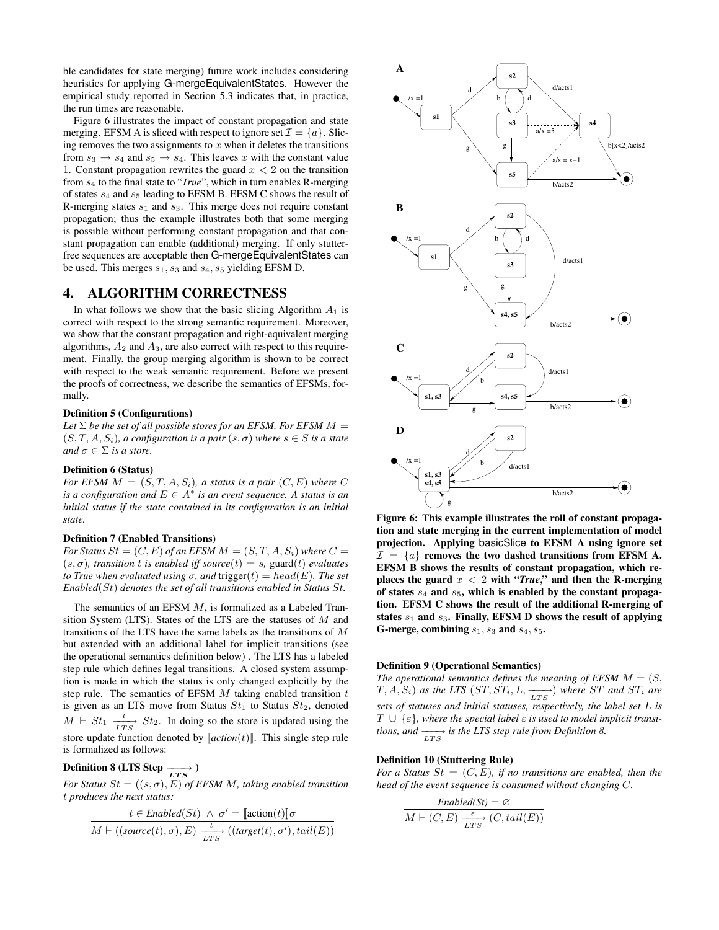ble candidates for state merging) future work includes considering heuristics for applying G-mergeEquivalentStates. However the empirical study reported in Section 5.3 indicates that, in practice, the run times are reasonable.

Figure 6 illustrates the impact of constant propagation and state merging. EFSM A is sliced with respect to ignore set  $\mathcal{I} = \{a\}$ . Slicing removes the two assignments to  $x$  when it deletes the transitions from  $s_3 \rightarrow s_4$  and  $s_5 \rightarrow s_4$ . This leaves x with the constant value 1. Constant propagation rewrites the guard  $x < 2$  on the transition from s<sup>4</sup> to the final state to "*True*", which in turn enables R-merging of states  $s_4$  and  $s_5$  leading to EFSM B. EFSM C shows the result of R-merging states  $s_1$  and  $s_3$ . This merge does not require constant propagation; thus the example illustrates both that some merging is possible without performing constant propagation and that constant propagation can enable (additional) merging. If only stutterfree sequences are acceptable then G-mergeEquivalentStates can be used. This merges  $s_1$ ,  $s_3$  and  $s_4$ ,  $s_5$  yielding EFSM D.

### 4. ALGORITHM CORRECTNESS

In what follows we show that the basic slicing Algorithm  $A_1$  is correct with respect to the strong semantic requirement. Moreover, we show that the constant propagation and right-equivalent merging algorithms,  $A_2$  and  $A_3$ , are also correct with respect to this requirement. Finally, the group merging algorithm is shown to be correct with respect to the weak semantic requirement. Before we present the proofs of correctness, we describe the semantics of EFSMs, formally.

#### Definition 5 (Configurations)

Let  $\Sigma$  *be the set of all possible stores for an EFSM. For EFSM M =*  $(S, T, A, S_i)$ *, a configuration is a pair*  $(s, \sigma)$  *where*  $s \in S$  *is a state and*  $\sigma \in \Sigma$  *is a store.* 

#### Definition 6 (Status)

*For EFSM*  $M = (S, T, A, S_i)$ *, a status is a pair*  $(C, E)$  *where* C *is a configuration and*  $E \in A^*$  *is an event sequence.* A status is an *initial status if the state contained in its configuration is an initial state.*

#### Definition 7 (Enabled Transitions)

*For Status*  $St = (C, E)$  *of an EFSM*  $M = (S, T, A, S_i)$  *where*  $C =$  $(s, \sigma)$ *, transition* t *is enabled iff source* $(t) = s$ *, guard* $(t)$  *evaluates to True when evaluated using*  $\sigma$ *, and trigger(t) = head(E). The set Enabled*(St) *denotes the set of all transitions enabled in Status* St*.*

The semantics of an EFSM M, is formalized as a Labeled Transition System (LTS). States of the LTS are the statuses of  $M$  and transitions of the LTS have the same labels as the transitions of M but extended with an additional label for implicit transitions (see the operational semantics definition below) . The LTS has a labeled step rule which defines legal transitions. A closed system assumption is made in which the status is only changed explicitly by the step rule. The semantics of EFSM  $M$  taking enabled transition  $t$ is given as an LTS move from Status  $St_1$  to Status  $St_2$ , denoted  $M \vdash St_1 \xrightarrow[LTS]{} St_2$ . In doing so the store is updated using the store update function denoted by  $[action(t)]$ . This single step rule is formalized as follows:

## Definition 8 (LTS Step  $\frac{ }{LTS}$  )

*For Status*  $St = ((s, \sigma), E)$  *of EFSM M, taking enabled transition* t *produces the next status:*

$$
\cfrac{t \in \mathit{Enabled}(St) \ \land \ \sigma' = \llbracket \text{action}(t) \rrbracket \sigma}{M \vdash ((\mathit{source}(t), \sigma), E) \ \cfrac{t}{\mathit{LTS'}} \ ((\mathit{target}(t), \sigma'), \mathit{tail}(E))}
$$



Figure 6: This example illustrates the roll of constant propagation and state merging in the current implementation of model projection. Applying basicSlice to EFSM A using ignore set  $\mathcal{I} = \{a\}$  removes the two dashed transitions from EFSM A. EFSM B shows the results of constant propagation, which replaces the guard  $x < 2$  with "*True*," and then the R-merging of states  $s_4$  and  $s_5$ , which is enabled by the constant propagation. EFSM C shows the result of the additional R-merging of states  $s_1$  and  $s_3$ . Finally, EFSM D shows the result of applying G-merge, combining  $s_1, s_3$  and  $s_4, s_5$ .

#### Definition 9 (Operational Semantics)

The operational semantics defines the meaning of EFSM  $M = (S,$  $(T, A, S_i)$  *as the LTS*  $(ST, ST_i, L, \frac{1}{LTS})$  where ST and ST<sub>i</sub> are *sets of statuses and initial statuses, respectively, the label set* L *is*  $T \cup \{\varepsilon\}$ , where the special label  $\varepsilon$  is used to model implicit transi*tions, and*  $\frac{1}{LTS}$  *is the LTS step rule from Definition 8.* 

#### Definition 10 (Stuttering Rule)

*For a Status St* =  $(C, E)$ *, if no transitions are enabled, then the head of the event sequence is consumed without changing* C*.*

$$
\frac{\text{Enableal}(St) = \varnothing}{M \vdash (C, E) \xrightarrow[\text{LTS}]{\varepsilon} (C, tail(E))}
$$

*Enabled(St)* = ∅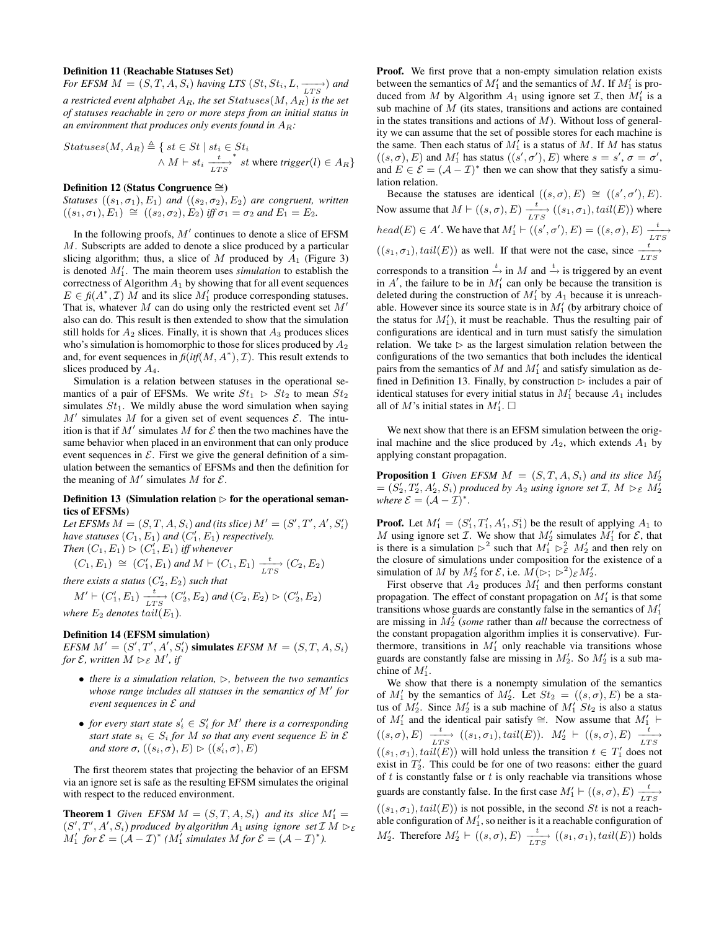#### Definition 11 (Reachable Statuses Set)

*For EFSM*  $M = (S, T, A, S_i)$  *having LTS*  $(St, St_i, L, \frac{1}{LTS})$  *and a restricted event alphabet*  $A_R$ *, the set*  $Statuses(M, A_R)$  *is the set of statuses reachable in zero or more steps from an initial status in an environment that produces only events found in* AR*:*

$$
Statuses(M, A_R) \triangleq \{ st \in St \mid st_i \in St_i
$$
  
 
$$
\wedge M \vdash st_i \xrightarrow{t}_{LTS}^* st \text{ where trigger}(l) \in A_R \}
$$

#### Definition 12 (Status Congruence ≅)

*Statuses*  $((s_1, \sigma_1), E_1)$  *and*  $((s_2, \sigma_2), E_2)$  *are congruent, written*  $((s_1, \sigma_1), E_1) \cong ((s_2, \sigma_2), E_2)$  *iff*  $\sigma_1 = \sigma_2$  *and*  $E_1 = E_2$ *.* 

In the following proofs,  $M'$  continues to denote a slice of EFSM M. Subscripts are added to denote a slice produced by a particular slicing algorithm; thus, a slice of  $M$  produced by  $A_1$  (Figure 3) is denoted  $M'_1$ . The main theorem uses *simulation* to establish the correctness of Algorithm  $A_1$  by showing that for all event sequences  $E \in f(A^*, \mathcal{I})$  *M* and its slice  $M'_1$  produce corresponding statuses. That is, whatever  $M$  can do using only the restricted event set  $M'$ also can do. This result is then extended to show that the simulation still holds for  $A_2$  slices. Finally, it is shown that  $A_3$  produces slices who's simulation is homomorphic to those for slices produced by  $A_2$ and, for event sequences in  $\widehat{f}(itf(M, A^*), \mathcal{I})$ . This result extends to slices produced by  $A_4$ .

Simulation is a relation between statuses in the operational semantics of a pair of EFSMs. We write  $St_1 \triangleright St_2$  to mean  $St_2$ simulates  $St_1$ . We mildly abuse the word simulation when saying  $M'$  simulates M for a given set of event sequences  $\mathcal{E}$ . The intuition is that if  $M'$  simulates M for  $\mathcal E$  then the two machines have the same behavior when placed in an environment that can only produce event sequences in  $\mathcal E$ . First we give the general definition of a simulation between the semantics of EFSMs and then the definition for the meaning of  $M'$  simulates  $M$  for  $\mathcal{E}$ .

#### Definition 13 (Simulation relation  $\triangleright$  for the operational semantics of EFSMs)

Let EFSMs  $M = (S, T, A, S_i)$  and (its slice)  $M' = (S', T', A', S'_i)$ *have statuses*  $(C_1, E_1)$  *and*  $(C'_1, E_1)$  *respectively. Then*  $(C_1, E_1) \triangleright (C'_1, E_1)$  *iff whenever* 

 $(C_1, E_1) \cong (C'_1, E_1)$  and  $M \vdash (C_1, E_1) \xrightarrow[LTS]{} (C_2, E_2)$ 

*there exists a status*  $(C_2', E_2)$  *such that* 

 $M' \vdash (C'_1, E_1) \xrightarrow[LTS]{} (C'_2, E_2) \text{ and } (C_2, E_2) \rhd (C'_2, E_2)$ *where*  $E_2$  *denotes* tail( $E_1$ ).

#### Definition 14 (EFSM simulation)

*EFSM*  $M' = (S', T', A', S'_i)$  simulates *EFSM*  $M = (S, T, A, S_i)$ *for*  $\mathcal{E}$ *, written*  $M \rhd_{\mathcal{E}} M'$ *, if* 

- *there is a simulation relation,* ✄*, between the two semantics* whose range includes all statuses in the semantics of  $M'$  for *event sequences in* E *and*
- for every start state  $s_i' \in S_i'$  for  $M'$  there is a corresponding *start state*  $s_i \in S_i$  *for M so that any event sequence E in*  $\mathcal{E}$ *and store*  $\sigma$ ,  $((s_i, \sigma), E) \triangleright ((s'_i, \sigma), E)$

The first theorem states that projecting the behavior of an EFSM via an ignore set is safe as the resulting EFSM simulates the original with respect to the reduced environment.

**Theorem 1** Given EFSM  $M = (S, T, A, S_i)$  and its slice  $M'_1 =$  $(S', T', A', S_i)$  produced by algorithm  $A_1$  using ignore set  $\mathcal{I} M \triangleright_{\mathcal{E}}$  $M'_1$  for  $\mathcal{E} = (\mathcal{A} - \mathcal{I})^*$  ( $M'_1$  simulates  $M$  for  $\mathcal{E} = (\mathcal{A} - \mathcal{I})^*$ ).

Proof. We first prove that a non-empty simulation relation exists between the semantics of  $M_1'$  and the semantics of M. If  $M_1'$  is produced from M by Algorithm  $A_1$  using ignore set  $\mathcal{I}$ , then  $M_1'$  is a sub machine of M (its states, transitions and actions are contained in the states transitions and actions of  $M$ ). Without loss of generality we can assume that the set of possible stores for each machine is the same. Then each status of  $M_1$  is a status of M. If M has status  $((s, \sigma), E)$  and  $M'_1$  has status  $((s', \sigma'), E)$  where  $s = s', \sigma = \sigma',$ and  $E \in \mathcal{E} = (\mathcal{A} - \mathcal{I})^*$  then we can show that they satisfy a simulation relation.

Because the statuses are identical  $((s, \sigma), E) \cong ((s', \sigma'), E)$ . Now assume that  $M \vdash ((s, \sigma), E) \xrightarrow[LTS]{} (s_1, \sigma_1), tail(E))$  where  $head(E) \in A'$ . We have that  $M'_1 \vdash ((s', \sigma'), E) = ((s, \sigma), E) \frac{t}{LTS'}$  $((s_1, \sigma_1), tail(E))$  as well. If that were not the case, since  $\frac{t}{LTS}$ corresponds to a transition  $\stackrel{t}{\rightarrow}$  in M and  $\stackrel{t}{\rightarrow}$  is triggered by an event in  $A'$ , the failure to be in  $M'_1$  can only be because the transition is deleted during the construction of  $M_1'$  by  $A_1$  because it is unreachable. However since its source state is in  $M'_1$  (by arbitrary choice of

the status for  $M'_1$ ), it must be reachable. Thus the resulting pair of configurations are identical and in turn must satisfy the simulation relation. We take  $\triangleright$  as the largest simulation relation between the configurations of the two semantics that both includes the identical pairs from the semantics of  $M$  and  $M'_1$  and satisfy simulation as defined in Definition 13. Finally, by construction  $\triangleright$  includes a pair of identical statuses for every initial status in  $M'_1$  because  $A_1$  includes all of M's initial states in  $M'_1$ .  $\Box$ 

We next show that there is an EFSM simulation between the original machine and the slice produced by  $A_2$ , which extends  $A_1$  by applying constant propagation.

**Proposition 1** Given EFSM  $M = (S, T, A, S_i)$  and its slice  $M_2'$  $= (S_2', T_2', A_2', S_i)$  *produced by*  $A_2$  *using ignore set*  $\mathcal{I}, M \triangleright_{\varepsilon} M_2'$ *where*  $\mathcal{E} = (\mathcal{A} - \mathcal{I})^*$ *.* 

**Proof.** Let  $M'_1 = (S'_1, T'_1, A'_1, S_1^i)$  be the result of applying  $A_1$  to M using ignore set  $\mathcal I$ . We show that  $M'_2$  simulates  $M'_1$  for  $\mathcal E$ , that is there is a simulation  $\triangleright^2$  such that  $M'_1 \triangleright^2_{\mathcal{E}} M'_2$  and then rely on the closure of simulations under composition for the existence of a simulation of M by  $M'_2$  for  $\mathcal{E}$ , i.e.  $\overline{M}(\triangleright; \triangleright^2)\varepsilon M'_2$ .

First observe that  $A_2$  produces  $M_1'$  and then performs constant propagation. The effect of constant propagation on  $M'_1$  is that some transitions whose guards are constantly false in the semantics of  $M_1'$ are missing in  $M_2$ <sup>'</sup> (*some* rather than *all* because the correctness of the constant propagation algorithm implies it is conservative). Furthermore, transitions in  $M'_1$  only reachable via transitions whose guards are constantly false are missing in  $M'_2$ . So  $M'_2$  is a sub machine of  $M'_1$ .

We show that there is a nonempty simulation of the semantics of  $M'_1$  by the semantics of  $M'_2$ . Let  $St_2 = ((s, \sigma), E)$  be a status of  $M'_2$ . Since  $M'_2$  is a sub machine of  $M'_1$   $St_2$  is also a status of  $M'_1$  and the identical pair satisfy  $\cong$ . Now assume that  $M'_1$  ⊢  $((s, \sigma), E) \xrightarrow[LTS]{} (s_1, \sigma_1), tail(E)).$   $M'_2 \vdash ((s, \sigma), E) \xrightarrow[LTS]{}$  $((s_1, \sigma_1), tail(E))$  will hold unless the transition  $t \in T'_1$  does not exist in  $T_2'$ . This could be for one of two reasons: either the guard of  $t$  is constantly false or  $t$  is only reachable via transitions whose guards are constantly false. In the first case  $M'_1 \vdash ((s, \sigma), E) \frac{t}{LTS}$  $((s_1, \sigma_1), tail(E))$  is not possible, in the second St is not a reachable configuration of  $M'_1$ , so neither is it a reachable configuration of  $M'_2$ . Therefore  $M'_2 \vdash ((s, \sigma), E) \xrightarrow[LTS]{} (s_1, \sigma_1), tail(E))$  holds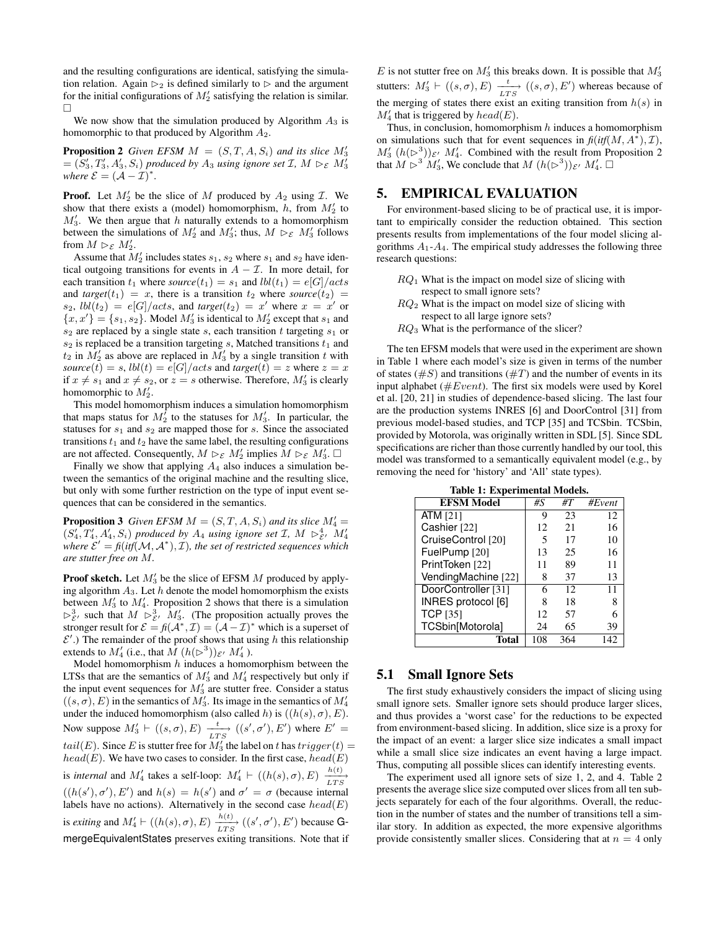and the resulting configurations are identical, satisfying the simulation relation. Again  $\triangleright_2$  is defined similarly to  $\triangleright$  and the argument for the initial configurations of  $M'_2$  satisfying the relation is similar.  $\Box$ 

We now show that the simulation produced by Algorithm  $A_3$  is homomorphic to that produced by Algorithm  $A_2$ .

**Proposition 2** Given EFSM  $M = (S, T, A, S_i)$  and its slice  $M'_3$  $= (S'_3, T'_3, A'_3, S_i)$  *produced by*  $A_3$  *using ignore set*  $\mathcal{I}, M \triangleright_{\mathcal{E}} M'_3$ *where*  $\mathcal{E} = (\mathcal{A} - \mathcal{I})^*$ *.* 

**Proof.** Let  $M'_2$  be the slice of M produced by  $A_2$  using  $\mathcal{I}$ . We show that there exists a (model) homomorphism,  $h$ , from  $M'_2$  to  $M'_3$ . We then argue that h naturally extends to a homomorphism between the simulations of  $M'_2$  and  $M'_3$ ; thus,  $M \rhd_{\mathcal{E}} M'_3$  follows from  $M \rhd_{\mathcal{E}} M'_2$ .

Assume that  $M'_2$  includes states  $s_1$ ,  $s_2$  where  $s_1$  and  $s_2$  have identical outgoing transitions for events in  $A - \mathcal{I}$ . In more detail, for each transition  $t_1$  where *source*( $t_1$ ) =  $s_1$  and  $\text{lb}(t_1) = \text{e}[G]/\text{acts}$ and  $target(t_1) = x$ , there is a transition  $t_2$  where  $source(t_2) =$  $s_2$ ,  $\text{lb}(t_2) = \text{e}[G]/\text{acts},$  and  $\text{target}(t_2) = x'$  where  $x = x'$  or  ${x, x'} = {s_1, s_2}$ . Model  $M'_3$  is identical to  $M'_2$  except that  $s_1$  and  $s_2$  are replaced by a single state s, each transition t targeting  $s_1$  or  $s_2$  is replaced be a transition targeting s, Matched transitions  $t_1$  and  $t_2$  in  $\overline{M'_2}$  as above are replaced in  $M'_3$  by a single transition t with *source*(*t*) = *s*,  $\frac{1}{b}$ (*t*) =  $\frac{e[G]}{acts}$  and  $\frac{target(t)}{s}$  = *z* where  $z = x$ if  $x \neq s_1$  and  $x \neq s_2$ , or  $z = s$  otherwise. Therefore,  $M'_3$  is clearly homomorphic to  $M'_2$ .

This model homomorphism induces a simulation homomorphism that maps status for  $M_2^f$  to the statuses for  $M_3^f$ . In particular, the statuses for  $s_1$  and  $s_2$  are mapped those for  $s$ . Since the associated transitions  $t_1$  and  $t_2$  have the same label, the resulting configurations are not affected. Consequently,  $M \rhd_{\mathcal{E}} M_2'$  implies  $M \rhd_{\mathcal{E}} M_3'$ .  $\Box$ 

Finally we show that applying  $A_4$  also induces a simulation between the semantics of the original machine and the resulting slice, but only with some further restriction on the type of input event sequences that can be considered in the semantics.

**Proposition 3** *Given EFSM*  $M = (S, T, A, S_i)$  *and its slice*  $M'_4 =$  $(S_4', T_4', A_4', S_i)$  produced by  $A_4$  *using ignore set*  $\mathcal{I}, M \rhd_{\mathcal{E}'}^4 M_4'$ where  $\mathcal{E}' = \text{fi}(\text{iff}(\mathcal{M}, \mathcal{A}^*), \mathcal{I})$ , the set of restricted sequences which *are stutter free on* M*.*

**Proof sketch.** Let  $M_3'$  be the slice of EFSM  $M$  produced by applying algorithm  $A_3$ . Let h denote the model homomorphism the exists between  $M_3'$  to  $M_4'$ . Proposition 2 shows that there is a simulation  $\triangleright_{\varepsilon}^3$  such that  $M \triangleright_{\varepsilon'}^3 \tilde{M}'_3$ . (The proposition actually proves the stronger result for  $\mathcal{E} = f(\mathcal{A}^*, \mathcal{I}) = (\mathcal{A} - \mathcal{I})^*$  which is a superset of  $\mathcal{E}'$ .) The remainder of the proof shows that using h this relationship extends to  $M'_4$  (i.e., that  $\overline{M}(h(\rhd^3))_{\varepsilon'} M'_4$  ).

Model homomorphism  $h$  induces a homomorphism between the LTSs that are the semantics of  $M'_3$  and  $M'_4$  respectively but only if the input event sequences for  $M'_3$  are stutter free. Consider a status  $((s, \sigma), E)$  in the semantics of  $M'_3$ . Its image in the semantics of  $M'_4$ under the induced homomorphism (also called h) is  $((h(s), \sigma), E)$ . Now suppose  $M'_3 \vdash ((s, \sigma), E) \xrightarrow[LTS]{} ((s', \sigma'), E')$  where  $E' =$  $tail(E)$ . Since E is stutter free for  $M'_3$  the label on t has  $trigger(t) =$  $head(E)$ . We have two cases to consider. In the first case,  $head(E)$ is *internal* and  $M'_4$  takes a self-loop:  $M'_4 \vdash ((h(s), \sigma), E) \frac{h(t)}{LTS'}$  $((h(s'), \sigma'), E')$  and  $h(s) = h(s')$  and  $\sigma' = \sigma$  (because internal labels have no actions). Alternatively in the second case  $head(E)$ is *exiting* and  $M'_4 \vdash ((h(s), \sigma), E) \frac{h(t)}{LTS'}((s', \sigma'), E')$  because GmergeEquivalentStates preserves exiting transitions. Note that if

E is not stutter free on  $M'_3$  this breaks down. It is possible that  $M'_3$  stutters:  $M'_3 \vdash ((s, \sigma), E) \xrightarrow[LTS]{} ((s, \sigma), E')$  whereas because of the merging of states there exist an exiting transition from  $h(s)$  in  $M'_4$  that is triggered by  $head(E)$ .

Thus, in conclusion, homomorphism  $h$  induces a homomorphism on simulations such that for event sequences in  $f(\text{itff}(M, A^*))$ ,  $\mathcal{I}$ ),  $M'_3$   $(h(\rhd^3))_{\varepsilon}$ ,  $M'_4$ . Combined with the result from Proposition 2 that  $M \rhd^3 M'_3$ , We conclude that  $M (h(\rhd^3))_{\varepsilon}$ ,  $M'_4$ .

### 5. EMPIRICAL EVALUATION

For environment-based slicing to be of practical use, it is important to empirically consider the reduction obtained. This section presents results from implementations of the four model slicing algorithms  $A_1$ - $A_4$ . The empirical study addresses the following three research questions:

- $RQ_1$  What is the impact on model size of slicing with respect to small ignore sets?
- $RQ_2$  What is the impact on model size of slicing with respect to all large ignore sets?
- RQ<sup>3</sup> What is the performance of the slicer?

The ten EFSM models that were used in the experiment are shown in Table 1 where each model's size is given in terms of the number of states ( $#S$ ) and transitions ( $#T$ ) and the number of events in its input alphabet ( $\#Event$ ). The first six models were used by Korel et al. [20, 21] in studies of dependence-based slicing. The last four are the production systems INRES [6] and DoorControl [31] from previous model-based studies, and TCP [35] and TCSbin. TCSbin, provided by Motorola, was originally written in SDL [5]. Since SDL specifications are richer than those currently handled by our tool, this model was transformed to a semantically equivalent model (e.g., by removing the need for 'history' and 'All' state types).

| <b>EFSM Model</b>        | #S  | #T  | #Event |
|--------------------------|-----|-----|--------|
| $\overline{ATM}$ [21]    | 9   | 23  | 12     |
| Cashier [22]             | 12  | 21  | 16     |
| CruiseControl [20]       | 5   | 17  | 10     |
| FuelPump <sup>[20]</sup> | 13  | 25  | 16     |
| PrintToken [22]          | 11  | 89  | 11     |
| VendingMachine [22]      | 8   | 37  | 13     |
| DoorController [31]      | 6   | 12  | 11     |
| INRES protocol [6]       | 8   | 18  | 8      |
| <b>TCP</b> [35]          | 12  | 57  |        |
| TCSbin[Motorola]         | 24  | 65  | 39     |
| Total                    | 108 | 364 | 142    |

Table 1: Experimental Models.

### 5.1 Small Ignore Sets

The first study exhaustively considers the impact of slicing using small ignore sets. Smaller ignore sets should produce larger slices, and thus provides a 'worst case' for the reductions to be expected from environment-based slicing. In addition, slice size is a proxy for the impact of an event: a larger slice size indicates a small impact while a small slice size indicates an event having a large impact. Thus, computing all possible slices can identify interesting events.

The experiment used all ignore sets of size 1, 2, and 4. Table 2 presents the average slice size computed over slices from all ten subjects separately for each of the four algorithms. Overall, the reduction in the number of states and the number of transitions tell a similar story. In addition as expected, the more expensive algorithms provide consistently smaller slices. Considering that at  $n = 4$  only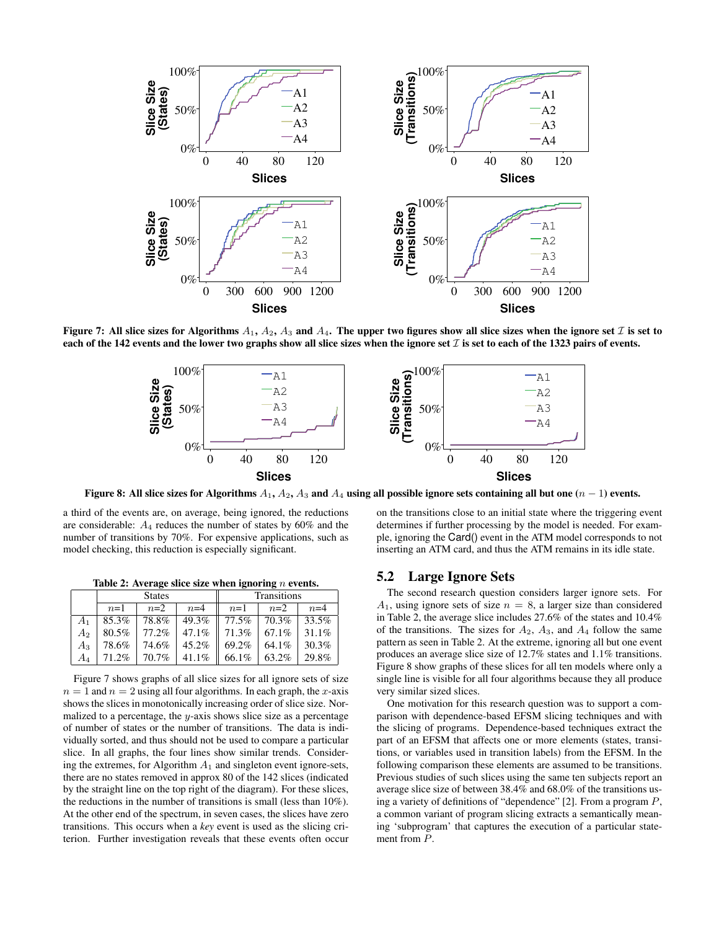

Figure 7: All slice sizes for Algorithms  $A_1$ ,  $A_2$ ,  $A_3$  and  $A_4$ . The upper two figures show all slice sizes when the ignore set  $\mathcal I$  is set to each of the 142 events and the lower two graphs show all slice sizes when the ignore set  $\mathcal I$  is set to each of the 1323 pairs of events.



Figure 8: All slice sizes for Algorithms  $A_1$ ,  $A_2$ ,  $A_3$  and  $A_4$  using all possible ignore sets containing all but one  $(n - 1)$  events.

a third of the events are, on average, being ignored, the reductions are considerable:  $A_4$  reduces the number of states by 60% and the number of transitions by 70%. For expensive applications, such as model checking, this reduction is especially significant.

Table 2: Average slice size when ignoring  $n$  events.

|    | <b>States</b> |       |       | Transitions |          |          |
|----|---------------|-------|-------|-------------|----------|----------|
|    | $n=1$         | $n=2$ | $n=4$ | $n=1$       | $n=2$    | $n=4$    |
| A1 | 85.3%         | 78.8% | 49.3% | 77.5%       | 70.3%    | 33.5%    |
| A2 | 80.5%         | 77.2% | 47.1% | 71.3%       | 67.1%    | $31.1\%$ |
| Aз | 78.6%         | 74.6% | 45.2% | 69.2%       | $64.1\%$ | 30.3%    |
|    | 71.2%         | 70.7% | 41.1% | 66.1%       | 63.2%    | 29.8%    |

Figure 7 shows graphs of all slice sizes for all ignore sets of size  $n = 1$  and  $n = 2$  using all four algorithms. In each graph, the x-axis shows the slices in monotonically increasing order of slice size. Normalized to a percentage, the  $y$ -axis shows slice size as a percentage of number of states or the number of transitions. The data is individually sorted, and thus should not be used to compare a particular slice. In all graphs, the four lines show similar trends. Considering the extremes, for Algorithm  $A_1$  and singleton event ignore-sets, there are no states removed in approx 80 of the 142 slices (indicated by the straight line on the top right of the diagram). For these slices, the reductions in the number of transitions is small (less than 10%). At the other end of the spectrum, in seven cases, the slices have zero transitions. This occurs when a *key* event is used as the slicing criterion. Further investigation reveals that these events often occur on the transitions close to an initial state where the triggering event determines if further processing by the model is needed. For example, ignoring the Card() event in the ATM model corresponds to not inserting an ATM card, and thus the ATM remains in its idle state.

#### 5.2 Large Ignore Sets

The second research question considers larger ignore sets. For  $A_1$ , using ignore sets of size  $n = 8$ , a larger size than considered in Table 2, the average slice includes 27.6% of the states and 10.4% of the transitions. The sizes for  $A_2$ ,  $A_3$ , and  $A_4$  follow the same pattern as seen in Table 2. At the extreme, ignoring all but one event produces an average slice size of 12.7% states and 1.1% transitions. Figure 8 show graphs of these slices for all ten models where only a single line is visible for all four algorithms because they all produce very similar sized slices.

One motivation for this research question was to support a comparison with dependence-based EFSM slicing techniques and with the slicing of programs. Dependence-based techniques extract the part of an EFSM that affects one or more elements (states, transitions, or variables used in transition labels) from the EFSM. In the following comparison these elements are assumed to be transitions. Previous studies of such slices using the same ten subjects report an average slice size of between 38.4% and 68.0% of the transitions using a variety of definitions of "dependence" [2]. From a program P, a common variant of program slicing extracts a semantically meaning 'subprogram' that captures the execution of a particular statement from P.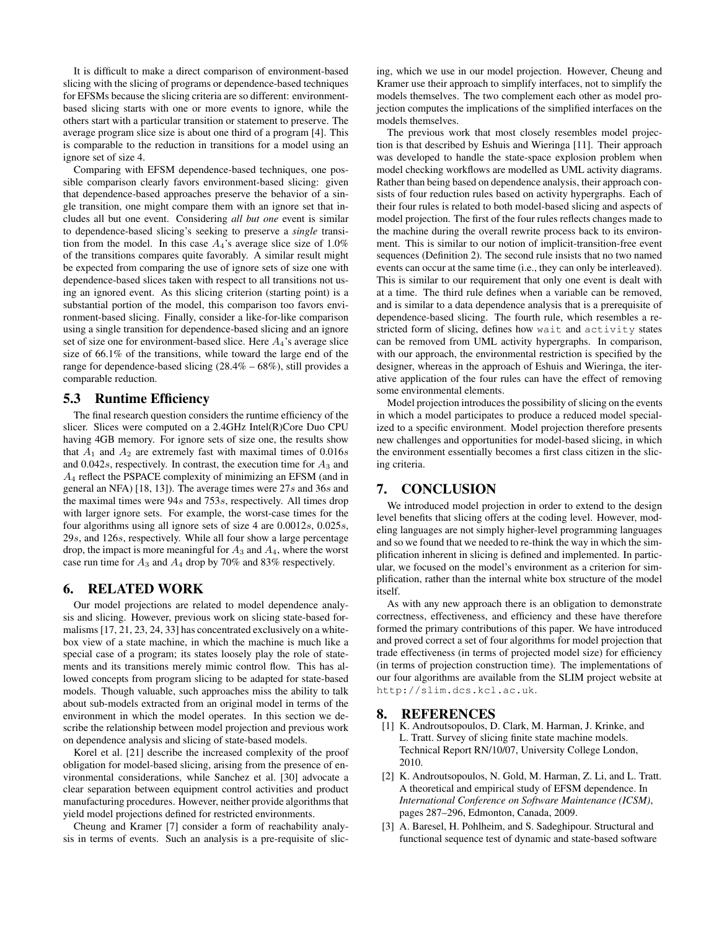It is difficult to make a direct comparison of environment-based slicing with the slicing of programs or dependence-based techniques for EFSMs because the slicing criteria are so different: environmentbased slicing starts with one or more events to ignore, while the others start with a particular transition or statement to preserve. The average program slice size is about one third of a program [4]. This is comparable to the reduction in transitions for a model using an ignore set of size 4.

Comparing with EFSM dependence-based techniques, one possible comparison clearly favors environment-based slicing: given that dependence-based approaches preserve the behavior of a single transition, one might compare them with an ignore set that includes all but one event. Considering *all but one* event is similar to dependence-based slicing's seeking to preserve a *single* transition from the model. In this case  $A_4$ 's average slice size of 1.0% of the transitions compares quite favorably. A similar result might be expected from comparing the use of ignore sets of size one with dependence-based slices taken with respect to all transitions not using an ignored event. As this slicing criterion (starting point) is a substantial portion of the model, this comparison too favors environment-based slicing. Finally, consider a like-for-like comparison using a single transition for dependence-based slicing and an ignore set of size one for environment-based slice. Here  $A_4$ 's average slice size of 66.1% of the transitions, while toward the large end of the range for dependence-based slicing (28.4% – 68%), still provides a comparable reduction.

### 5.3 Runtime Efficiency

The final research question considers the runtime efficiency of the slicer. Slices were computed on a 2.4GHz Intel(R)Core Duo CPU having 4GB memory. For ignore sets of size one, the results show that  $A_1$  and  $A_2$  are extremely fast with maximal times of 0.016s and  $0.042s$ , respectively. In contrast, the execution time for  $A_3$  and A<sup>4</sup> reflect the PSPACE complexity of minimizing an EFSM (and in general an NFA) [18, 13]). The average times were 27s and 36s and the maximal times were 94s and 753s, respectively. All times drop with larger ignore sets. For example, the worst-case times for the four algorithms using all ignore sets of size 4 are 0.0012s, 0.025s, 29s, and 126s, respectively. While all four show a large percentage drop, the impact is more meaningful for  $A_3$  and  $A_4$ , where the worst case run time for  $A_3$  and  $A_4$  drop by 70% and 83% respectively.

### 6. RELATED WORK

Our model projections are related to model dependence analysis and slicing. However, previous work on slicing state-based formalisms [17, 21, 23, 24, 33] has concentrated exclusively on a whitebox view of a state machine, in which the machine is much like a special case of a program; its states loosely play the role of statements and its transitions merely mimic control flow. This has allowed concepts from program slicing to be adapted for state-based models. Though valuable, such approaches miss the ability to talk about sub-models extracted from an original model in terms of the environment in which the model operates. In this section we describe the relationship between model projection and previous work on dependence analysis and slicing of state-based models.

Korel et al. [21] describe the increased complexity of the proof obligation for model-based slicing, arising from the presence of environmental considerations, while Sanchez et al. [30] advocate a clear separation between equipment control activities and product manufacturing procedures. However, neither provide algorithms that yield model projections defined for restricted environments.

Cheung and Kramer [7] consider a form of reachability analysis in terms of events. Such an analysis is a pre-requisite of slicing, which we use in our model projection. However, Cheung and Kramer use their approach to simplify interfaces, not to simplify the models themselves. The two complement each other as model projection computes the implications of the simplified interfaces on the models themselves.

The previous work that most closely resembles model projection is that described by Eshuis and Wieringa [11]. Their approach was developed to handle the state-space explosion problem when model checking workflows are modelled as UML activity diagrams. Rather than being based on dependence analysis, their approach consists of four reduction rules based on activity hypergraphs. Each of their four rules is related to both model-based slicing and aspects of model projection. The first of the four rules reflects changes made to the machine during the overall rewrite process back to its environment. This is similar to our notion of implicit-transition-free event sequences (Definition 2). The second rule insists that no two named events can occur at the same time (i.e., they can only be interleaved). This is similar to our requirement that only one event is dealt with at a time. The third rule defines when a variable can be removed, and is similar to a data dependence analysis that is a prerequisite of dependence-based slicing. The fourth rule, which resembles a restricted form of slicing, defines how wait and activity states can be removed from UML activity hypergraphs. In comparison, with our approach, the environmental restriction is specified by the designer, whereas in the approach of Eshuis and Wieringa, the iterative application of the four rules can have the effect of removing some environmental elements.

Model projection introduces the possibility of slicing on the events in which a model participates to produce a reduced model specialized to a specific environment. Model projection therefore presents new challenges and opportunities for model-based slicing, in which the environment essentially becomes a first class citizen in the slicing criteria.

### 7. CONCLUSION

We introduced model projection in order to extend to the design level benefits that slicing offers at the coding level. However, modeling languages are not simply higher-level programming languages and so we found that we needed to re-think the way in which the simplification inherent in slicing is defined and implemented. In particular, we focused on the model's environment as a criterion for simplification, rather than the internal white box structure of the model itself.

As with any new approach there is an obligation to demonstrate correctness, effectiveness, and efficiency and these have therefore formed the primary contributions of this paper. We have introduced and proved correct a set of four algorithms for model projection that trade effectiveness (in terms of projected model size) for efficiency (in terms of projection construction time). The implementations of our four algorithms are available from the SLIM project website at http://slim.dcs.kcl.ac.uk.

### 8. REFERENCES

- [1] K. Androutsopoulos, D. Clark, M. Harman, J. Krinke, and L. Tratt. Survey of slicing finite state machine models. Technical Report RN/10/07, University College London, 2010.
- [2] K. Androutsopoulos, N. Gold, M. Harman, Z. Li, and L. Tratt. A theoretical and empirical study of EFSM dependence. In *International Conference on Software Maintenance (ICSM)*, pages 287–296, Edmonton, Canada, 2009.
- [3] A. Baresel, H. Pohlheim, and S. Sadeghipour. Structural and functional sequence test of dynamic and state-based software